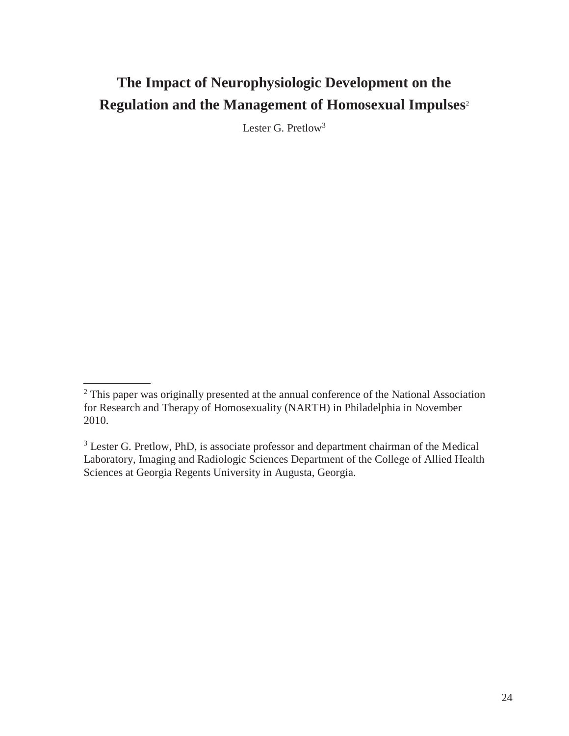# **The Impact of Neurophysiologic Development on the Regulation and the Management of Homosexual Impulses**<sup>2</sup>

Lester G. Pretlow<sup>3</sup>

<sup>&</sup>lt;sup>2</sup> This paper was originally presented at the annual conference of the National Association for Research and Therapy of Homosexuality (NARTH) in Philadelphia in November 2010.

<sup>&</sup>lt;sup>3</sup> Lester G. Pretlow, PhD, is associate professor and department chairman of the Medical Laboratory, Imaging and Radiologic Sciences Department of the College of Allied Health Sciences at Georgia Regents University in Augusta, Georgia.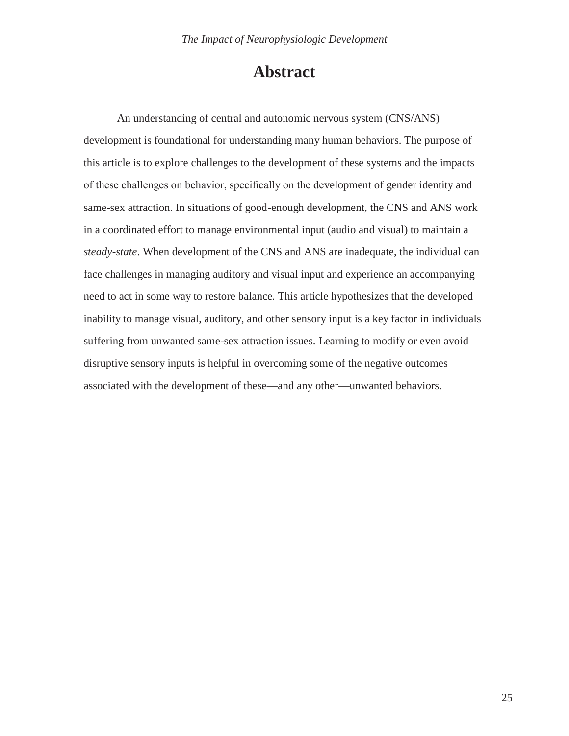# **Abstract**

An understanding of central and autonomic nervous system (CNS/ANS) development is foundational for understanding many human behaviors. The purpose of this article is to explore challenges to the development of these systems and the impacts of these challenges on behavior, specifically on the development of gender identity and same-sex attraction. In situations of good-enough development, the CNS and ANS work in a coordinated effort to manage environmental input (audio and visual) to maintain a *steady-state*. When development of the CNS and ANS are inadequate, the individual can face challenges in managing auditory and visual input and experience an accompanying need to act in some way to restore balance. This article hypothesizes that the developed inability to manage visual, auditory, and other sensory input is a key factor in individuals suffering from unwanted same-sex attraction issues. Learning to modify or even avoid disruptive sensory inputs is helpful in overcoming some of the negative outcomes associated with the development of these—and any other—unwanted behaviors.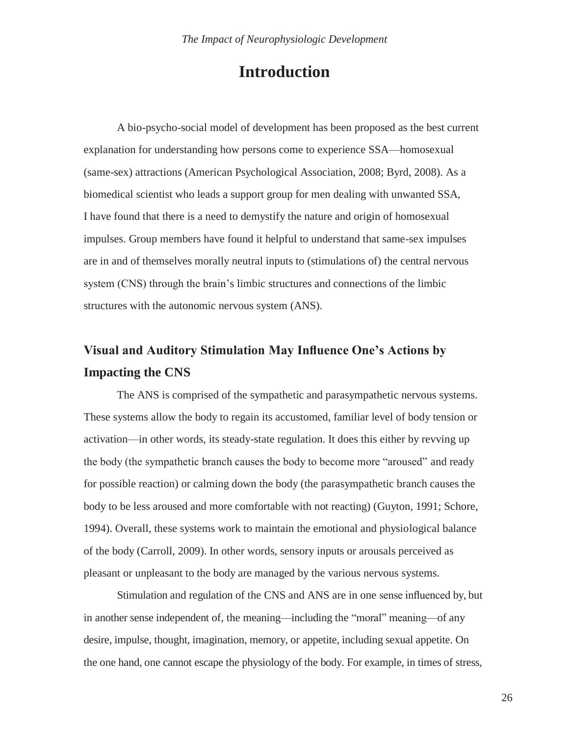# **Introduction**

A bio-psycho-social model of development has been proposed as the best current explanation for understanding how persons come to experience SSA—homosexual (same-sex) attractions (American Psychological Association, 2008; Byrd, 2008). As a biomedical scientist who leads a support group for men dealing with unwanted SSA, I have found that there is a need to demystify the nature and origin of homosexual impulses. Group members have found it helpful to understand that same-sex impulses are in and of themselves morally neutral inputs to (stimulations of) the central nervous system (CNS) through the brain's limbic structures and connections of the limbic structures with the autonomic nervous system (ANS).

# **Visual and Auditory Stimulation May Influence One's Actions by Impacting the CNS**

The ANS is comprised of the sympathetic and parasympathetic nervous systems. These systems allow the body to regain its accustomed, familiar level of body tension or activation—in other words, its steady-state regulation. It does this either by revving up the body (the sympathetic branch causes the body to become more "aroused" and ready for possible reaction) or calming down the body (the parasympathetic branch causes the body to be less aroused and more comfortable with not reacting) (Guyton, 1991; Schore, 1994). Overall, these systems work to maintain the emotional and physiological balance of the body (Carroll, 2009). In other words, sensory inputs or arousals perceived as pleasant or unpleasant to the body are managed by the various nervous systems.

Stimulation and regulation of the CNS and ANS are in one sense influenced by, but in another sense independent of, the meaning—including the "moral" meaning—of any desire, impulse, thought, imagination, memory, or appetite, including sexual appetite. On the one hand, one cannot escape the physiology of the body. For example, in times of stress,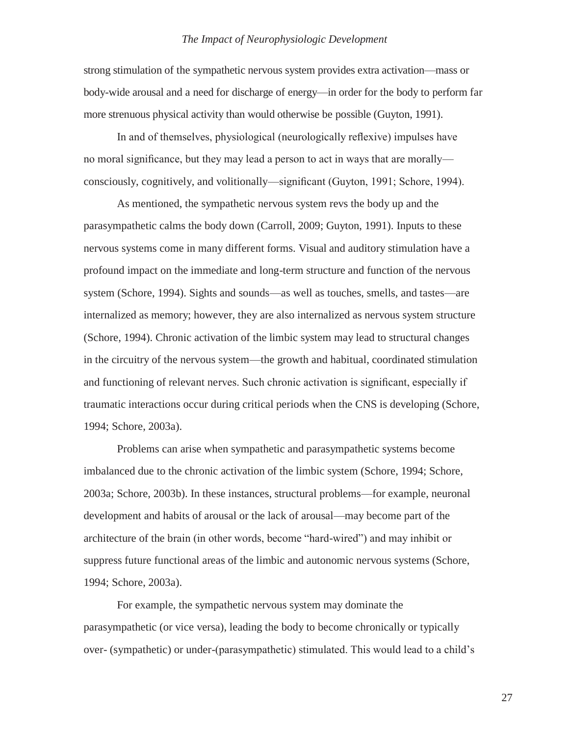strong stimulation of the sympathetic nervous system provides extra activation—mass or body-wide arousal and a need for discharge of energy—in order for the body to perform far more strenuous physical activity than would otherwise be possible (Guyton, 1991).

In and of themselves, physiological (neurologically reflexive) impulses have no moral significance, but they may lead a person to act in ways that are morally consciously, cognitively, and volitionally—significant (Guyton, 1991; Schore, 1994).

As mentioned, the sympathetic nervous system revs the body up and the parasympathetic calms the body down (Carroll, 2009; Guyton, 1991). Inputs to these nervous systems come in many different forms. Visual and auditory stimulation have a profound impact on the immediate and long-term structure and function of the nervous system (Schore, 1994). Sights and sounds—as well as touches, smells, and tastes—are internalized as memory; however, they are also internalized as nervous system structure (Schore, 1994). Chronic activation of the limbic system may lead to structural changes in the circuitry of the nervous system—the growth and habitual, coordinated stimulation and functioning of relevant nerves. Such chronic activation is significant, especially if traumatic interactions occur during critical periods when the CNS is developing (Schore, 1994; Schore, 2003a).

Problems can arise when sympathetic and parasympathetic systems become imbalanced due to the chronic activation of the limbic system (Schore, 1994; Schore, 2003a; Schore, 2003b). In these instances, structural problems—for example, neuronal development and habits of arousal or the lack of arousal—may become part of the architecture of the brain (in other words, become "hard-wired") and may inhibit or suppress future functional areas of the limbic and autonomic nervous systems (Schore, 1994; Schore, 2003a).

For example, the sympathetic nervous system may dominate the parasympathetic (or vice versa), leading the body to become chronically or typically over- (sympathetic) or under-(parasympathetic) stimulated. This would lead to a child's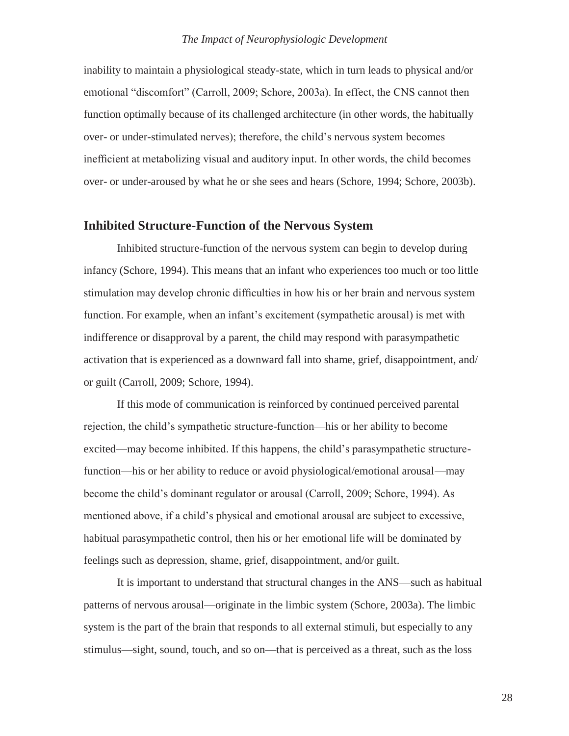inability to maintain a physiological steady-state, which in turn leads to physical and/or emotional "discomfort" (Carroll, 2009; Schore, 2003a). In effect, the CNS cannot then function optimally because of its challenged architecture (in other words, the habitually over- or under-stimulated nerves); therefore, the child's nervous system becomes inefficient at metabolizing visual and auditory input. In other words, the child becomes over- or under-aroused by what he or she sees and hears (Schore, 1994; Schore, 2003b).

## **Inhibited Structure-Function of the Nervous System**

Inhibited structure-function of the nervous system can begin to develop during infancy (Schore, 1994). This means that an infant who experiences too much or too little stimulation may develop chronic difficulties in how his or her brain and nervous system function. For example, when an infant's excitement (sympathetic arousal) is met with indifference or disapproval by a parent, the child may respond with parasympathetic activation that is experienced as a downward fall into shame, grief, disappointment, and/ or guilt (Carroll, 2009; Schore, 1994).

If this mode of communication is reinforced by continued perceived parental rejection, the child's sympathetic structure-function—his or her ability to become excited—may become inhibited. If this happens, the child's parasympathetic structurefunction—his or her ability to reduce or avoid physiological/emotional arousal—may become the child's dominant regulator or arousal (Carroll, 2009; Schore, 1994). As mentioned above, if a child's physical and emotional arousal are subject to excessive, habitual parasympathetic control, then his or her emotional life will be dominated by feelings such as depression, shame, grief, disappointment, and/or guilt.

It is important to understand that structural changes in the ANS—such as habitual patterns of nervous arousal—originate in the limbic system (Schore, 2003a). The limbic system is the part of the brain that responds to all external stimuli, but especially to any stimulus—sight, sound, touch, and so on—that is perceived as a threat, such as the loss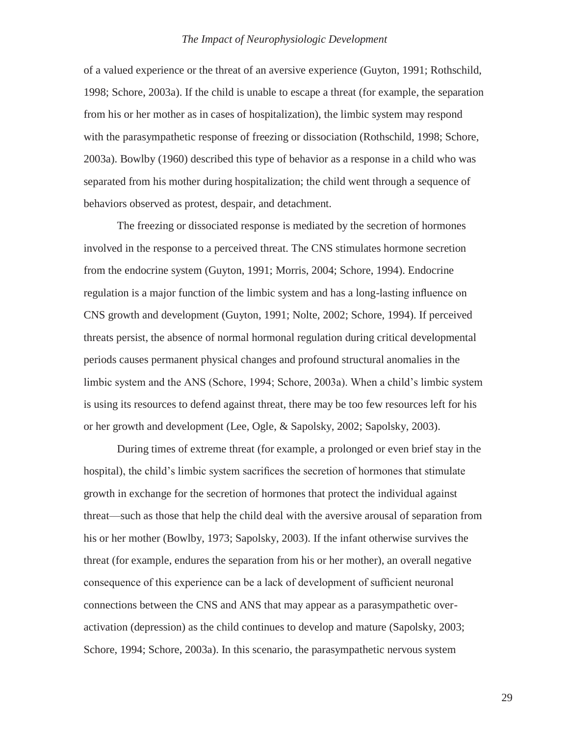of a valued experience or the threat of an aversive experience (Guyton, 1991; Rothschild, 1998; Schore, 2003a). If the child is unable to escape a threat (for example, the separation from his or her mother as in cases of hospitalization), the limbic system may respond with the parasympathetic response of freezing or dissociation (Rothschild, 1998; Schore, 2003a). Bowlby (1960) described this type of behavior as a response in a child who was separated from his mother during hospitalization; the child went through a sequence of behaviors observed as protest, despair, and detachment.

The freezing or dissociated response is mediated by the secretion of hormones involved in the response to a perceived threat. The CNS stimulates hormone secretion from the endocrine system (Guyton, 1991; Morris, 2004; Schore, 1994). Endocrine regulation is a major function of the limbic system and has a long-lasting influence on CNS growth and development (Guyton, 1991; Nolte, 2002; Schore, 1994). If perceived threats persist, the absence of normal hormonal regulation during critical developmental periods causes permanent physical changes and profound structural anomalies in the limbic system and the ANS (Schore, 1994; Schore, 2003a). When a child's limbic system is using its resources to defend against threat, there may be too few resources left for his or her growth and development (Lee, Ogle, & Sapolsky, 2002; Sapolsky, 2003).

During times of extreme threat (for example, a prolonged or even brief stay in the hospital), the child's limbic system sacrifices the secretion of hormones that stimulate growth in exchange for the secretion of hormones that protect the individual against threat—such as those that help the child deal with the aversive arousal of separation from his or her mother (Bowlby, 1973; Sapolsky, 2003). If the infant otherwise survives the threat (for example, endures the separation from his or her mother), an overall negative consequence of this experience can be a lack of development of sufficient neuronal connections between the CNS and ANS that may appear as a parasympathetic overactivation (depression) as the child continues to develop and mature (Sapolsky, 2003; Schore, 1994; Schore, 2003a). In this scenario, the parasympathetic nervous system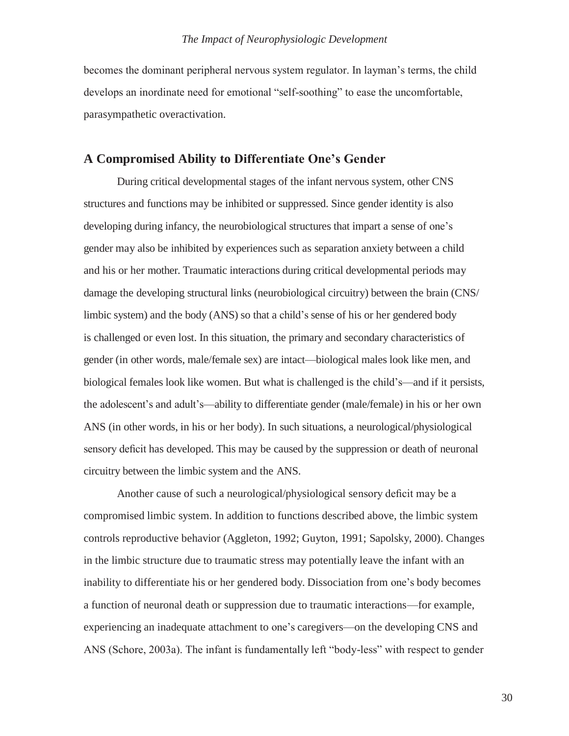becomes the dominant peripheral nervous system regulator. In layman's terms, the child develops an inordinate need for emotional "self-soothing" to ease the uncomfortable, parasympathetic overactivation.

### **A Compromised Ability to Differentiate One's Gender**

During critical developmental stages of the infant nervous system, other CNS structures and functions may be inhibited or suppressed. Since gender identity is also developing during infancy, the neurobiological structures that impart a sense of one's gender may also be inhibited by experiences such as separation anxiety between a child and his or her mother. Traumatic interactions during critical developmental periods may damage the developing structural links (neurobiological circuitry) between the brain (CNS/ limbic system) and the body (ANS) so that a child's sense of his or her gendered body is challenged or even lost. In this situation, the primary and secondary characteristics of gender (in other words, male/female sex) are intact—biological males look like men, and biological females look like women. But what is challenged is the child's—and if it persists, the adolescent's and adult's—ability to differentiate gender (male/female) in his or her own ANS (in other words, in his or her body). In such situations, a neurological/physiological sensory deficit has developed. This may be caused by the suppression or death of neuronal circuitry between the limbic system and the ANS.

Another cause of such a neurological/physiological sensory deficit may be a compromised limbic system. In addition to functions described above, the limbic system controls reproductive behavior (Aggleton, 1992; Guyton, 1991; Sapolsky, 2000). Changes in the limbic structure due to traumatic stress may potentially leave the infant with an inability to differentiate his or her gendered body. Dissociation from one's body becomes a function of neuronal death or suppression due to traumatic interactions—for example, experiencing an inadequate attachment to one's caregivers—on the developing CNS and ANS (Schore, 2003a). The infant is fundamentally left "body-less" with respect to gender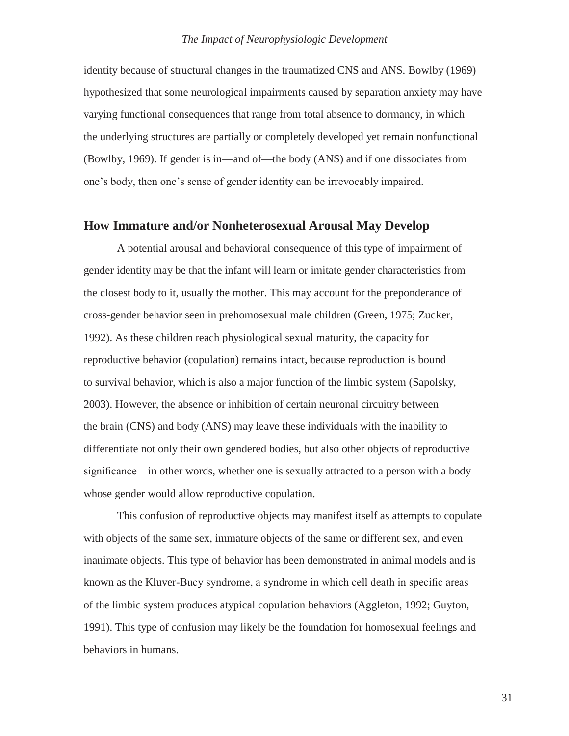identity because of structural changes in the traumatized CNS and ANS. Bowlby (1969) hypothesized that some neurological impairments caused by separation anxiety may have varying functional consequences that range from total absence to dormancy, in which the underlying structures are partially or completely developed yet remain nonfunctional (Bowlby, 1969). If gender is in—and of—the body (ANS) and if one dissociates from one's body, then one's sense of gender identity can be irrevocably impaired.

### **How Immature and/or Nonheterosexual Arousal May Develop**

A potential arousal and behavioral consequence of this type of impairment of gender identity may be that the infant will learn or imitate gender characteristics from the closest body to it, usually the mother. This may account for the preponderance of cross-gender behavior seen in prehomosexual male children (Green, 1975; Zucker, 1992). As these children reach physiological sexual maturity, the capacity for reproductive behavior (copulation) remains intact, because reproduction is bound to survival behavior, which is also a major function of the limbic system (Sapolsky, 2003). However, the absence or inhibition of certain neuronal circuitry between the brain (CNS) and body (ANS) may leave these individuals with the inability to differentiate not only their own gendered bodies, but also other objects of reproductive significance—in other words, whether one is sexually attracted to a person with a body whose gender would allow reproductive copulation.

This confusion of reproductive objects may manifest itself as attempts to copulate with objects of the same sex, immature objects of the same or different sex, and even inanimate objects. This type of behavior has been demonstrated in animal models and is known as the Kluver-Bucy syndrome, a syndrome in which cell death in specific areas of the limbic system produces atypical copulation behaviors (Aggleton, 1992; Guyton, 1991). This type of confusion may likely be the foundation for homosexual feelings and behaviors in humans.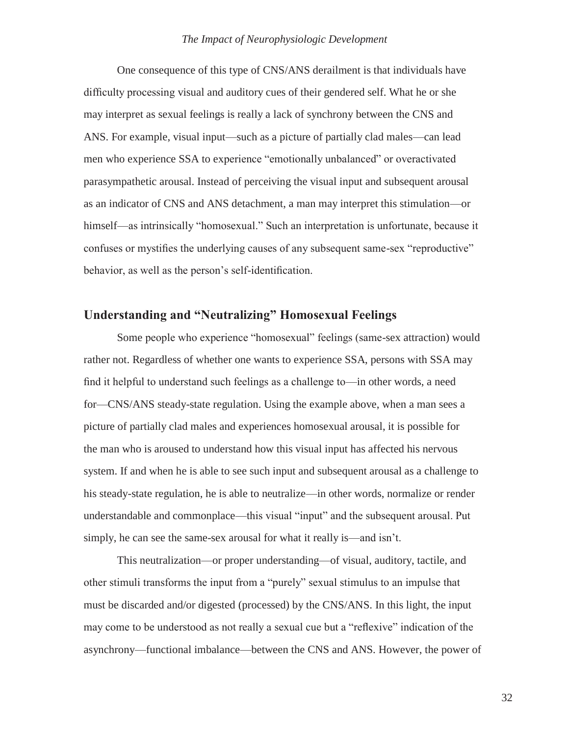One consequence of this type of CNS/ANS derailment is that individuals have difficulty processing visual and auditory cues of their gendered self. What he or she may interpret as sexual feelings is really a lack of synchrony between the CNS and ANS. For example, visual input—such as a picture of partially clad males—can lead men who experience SSA to experience "emotionally unbalanced" or overactivated parasympathetic arousal. Instead of perceiving the visual input and subsequent arousal as an indicator of CNS and ANS detachment, a man may interpret this stimulation—or himself—as intrinsically "homosexual." Such an interpretation is unfortunate, because it confuses or mystifies the underlying causes of any subsequent same-sex "reproductive" behavior, as well as the person's self-identification.

### **Understanding and "Neutralizing" Homosexual Feelings**

Some people who experience "homosexual" feelings (same-sex attraction) would rather not. Regardless of whether one wants to experience SSA, persons with SSA may find it helpful to understand such feelings as a challenge to—in other words, a need for—CNS/ANS steady-state regulation. Using the example above, when a man sees a picture of partially clad males and experiences homosexual arousal, it is possible for the man who is aroused to understand how this visual input has affected his nervous system. If and when he is able to see such input and subsequent arousal as a challenge to his steady-state regulation, he is able to neutralize—in other words, normalize or render understandable and commonplace—this visual "input" and the subsequent arousal. Put simply, he can see the same-sex arousal for what it really is—and isn't.

This neutralization—or proper understanding—of visual, auditory, tactile, and other stimuli transforms the input from a "purely" sexual stimulus to an impulse that must be discarded and/or digested (processed) by the CNS/ANS. In this light, the input may come to be understood as not really a sexual cue but a "reflexive" indication of the asynchrony—functional imbalance—between the CNS and ANS. However, the power of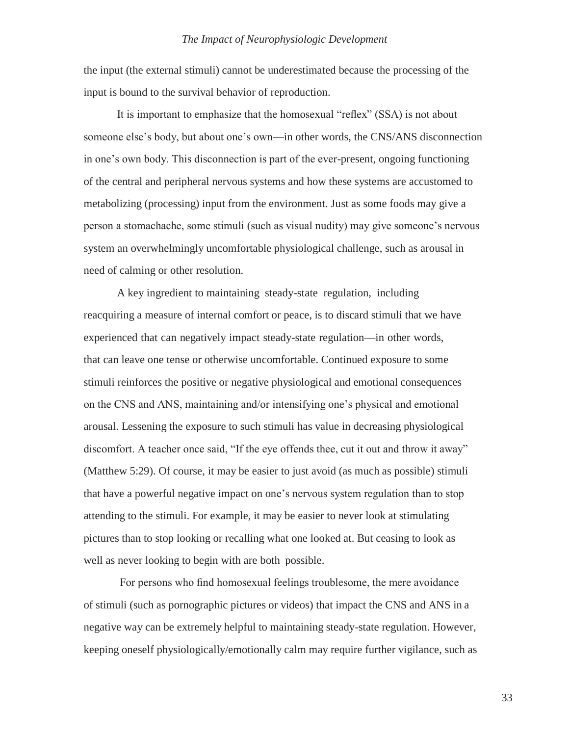the input (the external stimuli) cannot be underestimated because the processing of the input is bound to the survival behavior of reproduction.

It is important to emphasize that the homosexual "reflex" (SSA) is not about someone else's body, but about one's own—in other words, the CNS/ANS disconnection in one's own body. This disconnection is part of the ever-present, ongoing functioning of the central and peripheral nervous systems and how these systems are accustomed to metabolizing (processing) input from the environment. Just as some foods may give a person a stomachache, some stimuli (such as visual nudity) may give someone's nervous system an overwhelmingly uncomfortable physiological challenge, such as arousal in need of calming or other resolution.

A key ingredient to maintaining steady-state regulation, including reacquiring a measure of internal comfort or peace, is to discard stimuli that we have experienced that can negatively impact steady-state regulation—in other words, that can leave one tense or otherwise uncomfortable. Continued exposure to some stimuli reinforces the positive or negative physiological and emotional consequences on the CNS and ANS, maintaining and/or intensifying one's physical and emotional arousal. Lessening the exposure to such stimuli has value in decreasing physiological discomfort. A teacher once said, "If the eye offends thee, cut it out and throw it away" (Matthew 5:29). Of course, it may be easier to just avoid (as much as possible) stimuli that have a powerful negative impact on one's nervous system regulation than to stop attending to the stimuli. For example, it may be easier to never look at stimulating pictures than to stop looking or recalling what one looked at. But ceasing to look as well as never looking to begin with are both possible.

For persons who find homosexual feelings troublesome, the mere avoidance of stimuli (such as pornographic pictures or videos) that impact the CNS and ANS in a negative way can be extremely helpful to maintaining steady-state regulation. However, keeping oneself physiologically/emotionally calm may require further vigilance, such as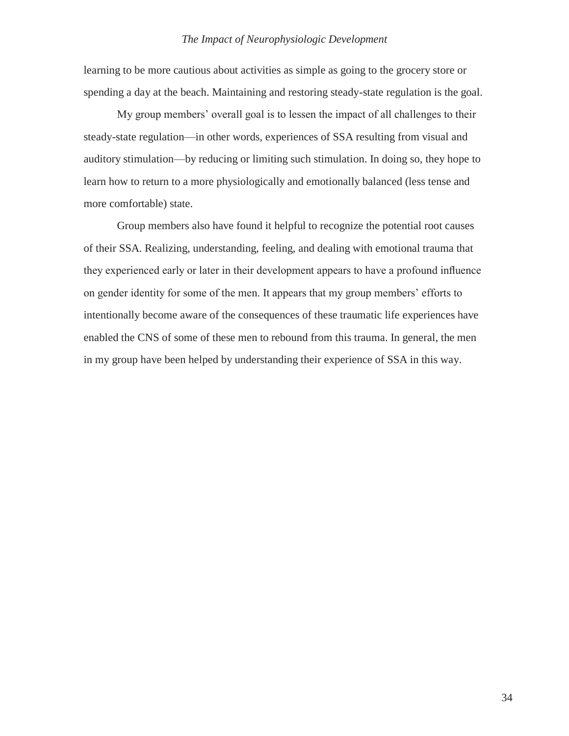learning to be more cautious about activities as simple as going to the grocery store or spending a day at the beach. Maintaining and restoring steady-state regulation is the goal.

My group members' overall goal is to lessen the impact of all challenges to their steady-state regulation—in other words, experiences of SSA resulting from visual and auditory stimulation—by reducing or limiting such stimulation. In doing so, they hope to learn how to return to a more physiologically and emotionally balanced (less tense and more comfortable) state.

Group members also have found it helpful to recognize the potential root causes of their SSA. Realizing, understanding, feeling, and dealing with emotional trauma that they experienced early or later in their development appears to have a profound influence on gender identity for some of the men. It appears that my group members' efforts to intentionally become aware of the consequences of these traumatic life experiences have enabled the CNS of some of these men to rebound from this trauma. In general, the men in my group have been helped by understanding their experience of SSA in this way.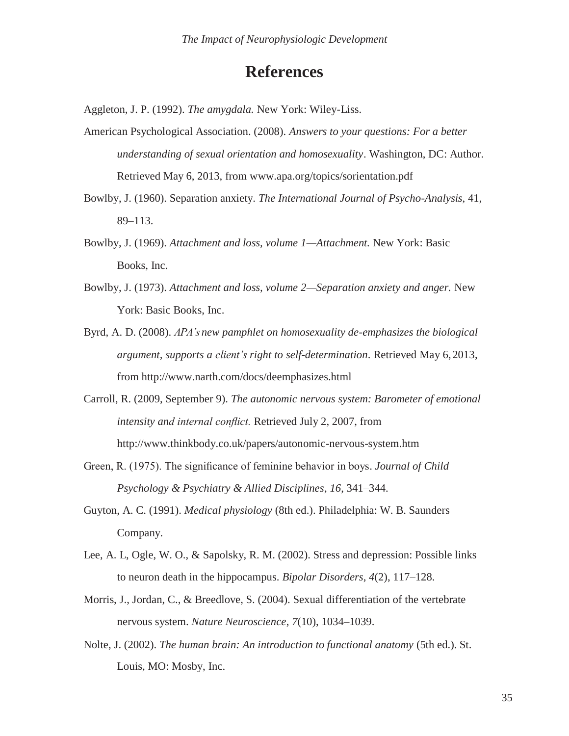## **References**

Aggleton, J. P. (1992). *The amygdala.* New York: Wiley-Liss.

- American Psychological Association. (2008). *Answers to your questions: For a better understanding of sexual orientation and homosexuality*. Washington, DC: Author. Retrieved May 6, 2013, from [www.apa.org/topics/sorientation.pdf](http://www.apa.org/topics/sorientation.pdf)
- Bowlby, J. (1960). Separation anxiety. *The International Journal of Psycho-Analysis*, 41, 89–113.
- Bowlby, J. (1969). *Attachment and loss, volume 1—Attachment.* New York: Basic Books, Inc.
- Bowlby, J. (1973). *Attachment and loss, volume 2—Separation anxiety and anger.* New York: Basic Books, Inc.
- Byrd, A. D. (2008). *APA's new pamphlet on homosexuality de-emphasizes the biological argument, supports a client's right to self-determination*. Retrieved May 6,2013, from <http://www.narth.com/docs/deemphasizes.html>
- Carroll, R. (2009, September 9). *The autonomic nervous system: Barometer of emotional intensity and internal conflict.* Retrieved July 2, 2007, from <http://www.thinkbody.co.uk/papers/autonomic-nervous-system.htm>
- Green, R. (1975). The significance of feminine behavior in boys. *Journal of Child Psychology & Psychiatry & Allied Disciplines*, *16*, 341–344.
- Guyton, A. C. (1991). *Medical physiology* (8th ed.). Philadelphia: W. B. Saunders Company.
- Lee, A. L, Ogle, W. O., & Sapolsky, R. M. (2002). Stress and depression: Possible links to neuron death in the hippocampus. *Bipolar Disorders*, *4*(2), 117–128.
- Morris, J., Jordan, C., & Breedlove, S. (2004). Sexual differentiation of the vertebrate nervous system. *Nature Neuroscience*, *7*(10), 1034–1039.
- Nolte, J. (2002). *The human brain: An introduction to functional anatomy* (5th ed.). St. Louis, MO: Mosby, Inc.